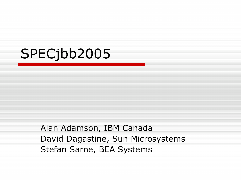#### SPECjbb2005

Alan Adamson, IBM Canada David Dagastine, Sun Microsystems Stefan Sarne, BEA Systems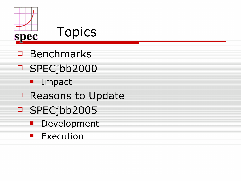

- $\Box$  Benchmarks
- SPECjbb2000
	- **I** Impact
- □ Reasons to Update
- □ SPECjbb2005
	- **Development**
	- **Execution**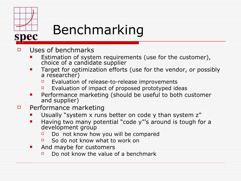

### Benchmarking

- $\Box$  Uses of benchmarks
	- **Example 1** Estimation of system requirements (use for the customer), choice of a candidate supplier
	- **Target for optimization efforts (use for the vendor, or possibly** a researcher)
		- $\Box$  Evaluation of release-to-release improvements
		- $\Box$  Evaluation of impact of proposed prototyped ideas
	- Performance marketing (should be useful to both customer and supplier)
- $\Box$  Performance marketing
	- Usually "system x runs better on code y than system z"
	- Having two many potential "code y"'s around is tough for a development group
		- $\Box$  Do not know how you will be compared
		- So do not know what to work on
	- **And maybe for customers** 
		- $\Box$  Do not know the value of a benchmark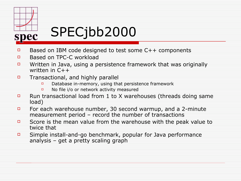

# SPECjbb2000

- **Based on IBM code designed to test some C++ components**
- **Based on TPC-C workload**
- $\Box$  Written in Java, using a persistence framework that was originally written in C++
- $\Box$  Transactional, and highly parallel
	- $\Box$  Database in-memory, using that persistence framework
	- □ No file i/o or network activity measured
- **E** Run transactional load from 1 to X warehouses (threads doing same load)
- For each warehouse number, 30 second warmup, and a 2-minute measurement period – record the number of transactions
- Score is the mean value from the warehouse with the peak value to twice that
- Simple install-and-go benchmark, popular for Java performance analysis – get a pretty scaling graph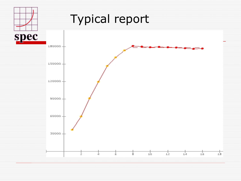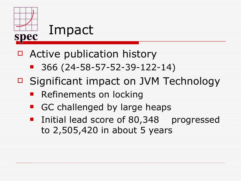

- □ Active publication history
	- 366 (24-58-57-52-39-122-14)
- □ Significant impact on JVM Technology
	- Refinements on locking
	- GC challenged by large heaps
	- **If** Initial lead score of 80,348 progressed to 2,505,420 in about 5 years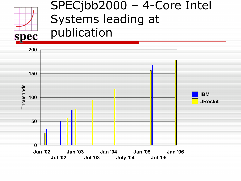

#### SPECjbb2000 – 4-Core Intel Systems leading at publication

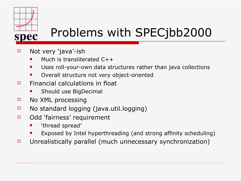

### Problems with SPECjbb2000

- Not very 'java'-ish
	- Much is transliterated  $C++$
	- **Uses roll-your-own data structures rather than java collections**
	- **Diam** Overall structure not very object-oriented
- $\Box$  Financial calculations in float
	- Should use BigDecimal
- □ No XML processing
- No standard logging (java.util.logging)
- □ Odd 'fairness' requirement
	- 'thread spread'
	- Exposed by Intel hyperthreading (and strong affinity scheduling)
- $\Box$  Unrealistically parallel (much unnecessary synchronization)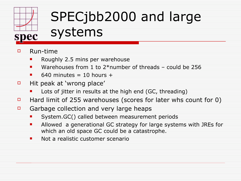

# SPECjbb2000 and large

#### systems

- Run-time
	- Roughly 2.5 mins per warehouse
	- Warehouses from 1 to 2\*number of threads could be 256
	- $\blacksquare$  640 minutes = 10 hours +
- $\Box$  Hit peak at 'wrong place'
	- Lots of jitter in results at the high end (GC, threading)
- **Hard limit of 255 warehouses (scores for later whs count for 0)**
- $\Box$  Garbage collection and very large heaps
	- System.GC() called between measurement periods
	- Allowed a generational GC strategy for large systems with JREs for which an old space GC could be a catastrophe.
	- **Not a realistic customer scenario**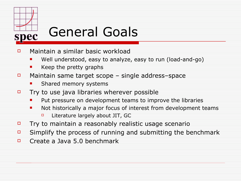

## General Goals

- $\Box$  Maintain a similar basic workload
	- Well understood, easy to analyze, easy to run (load-and-go)
	- Keep the pretty graphs
- $\Box$  Maintain same target scope single address–space
	- Shared memory systems
- $\Box$  Try to use java libraries wherever possible
	- Put pressure on development teams to improve the libraries
	- Not historically a major focus of interest from development teams
		- $\Box$  Literature largely about JIT, GC
- $\Box$  Try to maintain a reasonably realistic usage scenario
- $\Box$  Simplify the process of running and submitting the benchmark
- $\Box$  Create a Java 5.0 benchmark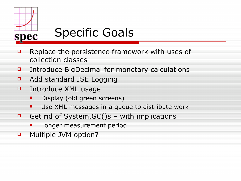

## Specific Goals

- $\Box$  Replace the persistence framework with uses of collection classes
- Introduce BigDecimal for monetary calculations
- **D** Add standard JSE Logging
- □ Introduce XML usage
	- Display (old green screens)
	- **Use XML messages in a queue to distribute work**
- Get rid of System.  $GC()s with implications$ 
	- Longer measurement period
- **D** Multiple JVM option?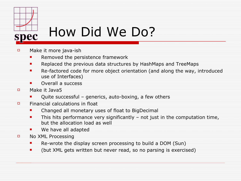

- Make it more java-ish
	- **Removed the persistence framework**
	- **Replaced the previous data structures by HashMaps and TreeMaps**
	- **Re-factored code for more object orientation (and along the way, introduced** use of Interfaces)
	- **Overall a success**
- D Make it Java5
	- **•** Quite successful generics, auto-boxing, a few others
- $\Box$  Financial calculations in float
	- **E** Changed all monetary uses of float to BigDecimal
	- **This hits performance very significantly not just in the computation time,** but the allocation load as well
	- **We have all adapted**
- **D** No XML Processing
	- **Re-wrote the display screen processing to build a DOM (Sun)**
	- **Detable 10 Set is that is exercised n** (but XML gets written but never read, so no parsing is exercised)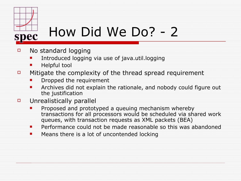

## How Did We Do? - 2

- $\Box$  No standard logging
	- Introduced logging via use of java.util.logging
	- **Helpful tool**
- $\Box$  Mitigate the complexity of the thread spread requirement
	- Dropped the requirement
	- **EXT** Archives did not explain the rationale, and nobody could figure out the justification
- $\Box$  Unrealistically parallel
	- Proposed and prototyped a queuing mechanism whereby transactions for all processors would be scheduled via shared work queues, with transaction requests as XML packets (BEA)
	- **Performance could not be made reasonable so this was abandoned**
	- **E** Means there is a lot of uncontended locking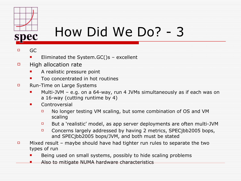

## How Did We Do? - 3

#### $\Box$  GC

- **Eliminated the System. GC()s excellent**
- $\Box$  High allocation rate
	- **A** realistic pressure point
	- **The Concentrated in hot routines**
- **E** Run-Time on Large Systems
	- **Multi-JVM e.g. on a 64-way, run 4 JVMs simultaneously as if each was on** a 16-way (cutting runtime by 4)
	- **L** Controversial
		- $\Box$  No longer testing VM scaling, but some combination of OS and VM scaling
		- **But a 'realistic' model, as app server deployments are often multi-JVM**
		- Concerns largely addressed by having 2 metrics, SPEC ibb 2005 bops, and SPECjbb2005 bops/JVM, and both must be stated
- $\Box$  Mixed result maybe should have had tighter run rules to separate the two types of run
	- Being used on small systems, possibly to hide scaling problems
	- Also to mitigate NUMA hardware characteristics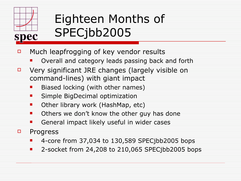

#### Eighteen Months of SPECjbb2005

- $\Box$  Much leapfrogging of key vendor results
	- Overall and category leads passing back and forth
- $\Box$  Very significant JRE changes (largely visible on command-lines) with giant impact
	- Biased locking (with other names)
	- Simple BigDecimal optimization
	- Other library work (HashMap, etc)
	- Others we don't know the other guy has done
	- General impact likely useful in wider cases
- **D** Progress
	- 4-core from 37,034 to 130,589 SPECjbb2005 bops
	- 2-socket from 24,208 to 210,065 SPECjbb2005 bops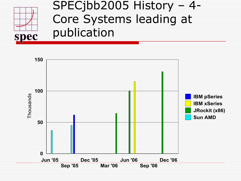

#### SPECjbb2005 History – 4- Core Systems leading at publication